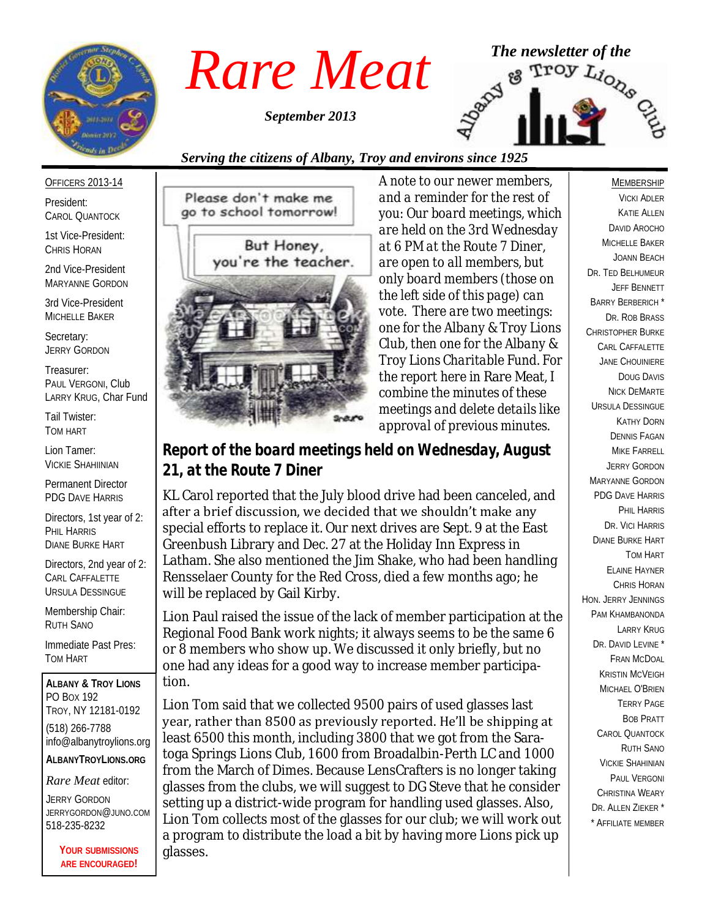

*September 2013*



#### *Serving the citizens of Albany, Troy and environs since 1925*

#### OFFICERS 2013-14

President: CAROL QUANTOCK

1st Vice-President: CHRIS HORAN

2nd Vice-President MARYANNE GORDON

3rd Vice-President MICHELLE BAKER

Secretary: JERRY GORDON

Treasurer: PAUL VERGONI, Club LARRY KRUG, Char Fund

Tail Twister: TOM HART

Lion Tamer: VICKIE SHAHIINIAN

Permanent Director PDG DAVE HARRIS

Directors, 1st year of 2: PHIL HARRIS DIANE BURKE HART

Directors, 2nd year of 2: CARL CAFFALETTE URSULA DESSINGUE

Membership Chair: RUTH SANO

Immediate Past Pres: TOM HART

**ALBANY & TROY LIONS** PO BOX 192 TROY, NY 12181-0192 (518) 266-7788 info@albanytroylions.org **ALBANYTROYLIONS.ORG**

#### *Rare Meat* editor:

JERRY GORDON JERRYGORDON@JUNO.COM 518-235-8232

> **YOUR SUBMISSIONS ARE ENCOURAGED!**



*A note to our newer members, and a reminder for the rest of you: Our board meetings, which are held on the 3rd Wednesday at 6 PM at the Route 7 Diner, are open to all members, but only board members (those on the left side of this page) can vote. There are two meetings: one for the Albany & Troy Lions Club, then one for the Albany & Troy Lions Charitable Fund. For the report here in* Rare Meat*, I combine the minutes of these meetings and delete details like approval of previous minutes.* 

*Report of the board meetings held on Wednesday, August 21, at the Route 7 Diner* 

KL Carol reported that the July blood drive had been canceled, and after a brief discussion, we decided that we shouldn't make any special efforts to replace it. Our next drives are Sept. 9 at the East Greenbush Library and Dec. 27 at the Holiday Inn Express in Latham. She also mentioned the Jim Shake, who had been handling Rensselaer County for the Red Cross, died a few months ago; he will be replaced by Gail Kirby.

Lion Paul raised the issue of the lack of member participation at the Regional Food Bank work nights; it always seems to be the same 6 or 8 members who show up. We discussed it only briefly, but no one had any ideas for a good way to increase member participation.

Lion Tom said that we collected 9500 pairs of used glasses last year, rather than 8500 as previously reported. He'll be shipping at least 6500 this month, including 3800 that we got from the Saratoga Springs Lions Club, 1600 from Broadalbin-Perth LC and 1000 from the March of Dimes. Because LensCrafters is no longer taking glasses from the clubs, we will suggest to DG Steve that he consider setting up a district-wide program for handling used glasses. Also, Lion Tom collects most of the glasses for our club; we will work out a program to distribute the load a bit by having more Lions pick up glasses.

MEMBERSHIP VICKI ADLER KATIE ALLEN DAVID AROCHO MICHELLE BAKER JOANN BEACH DR. TED BELHUMEUR JEFF BENNETT BARRY BERBERICH \* DR. ROB BRASS CHRISTOPHER BURKE CARL CAFFALETTE JANE CHOUINIERE DOUG DAVIS NICK DEMARTE URSULA DESSINGUE KATHY DORN DENNIS FAGAN MIKE FARRELL JERRY GORDON MARYANNE GORDON PDG DAVE HARRIS PHIL HARRIS DR. VICI HARRIS DIANE BURKE HART TOM HART ELAINE HAYNER CHRIS HORAN HON. JERRY JENNINGS PAM KHAMBANONDA LARRY KRUG DR. DAVID LEVINE<sup>\*</sup> FRAN MCDOAL KRISTIN MCVEIGH MICHAEL O'BRIEN TERRY PAGE BOB PRATT CAROL QUANTOCK RUTH SANO VICKIE SHAHINIAN PAUL VERGONI CHRISTINA WEARY DR. ALLEN 7IFKER<sup>\*</sup> \* AFFILIATE MEMBER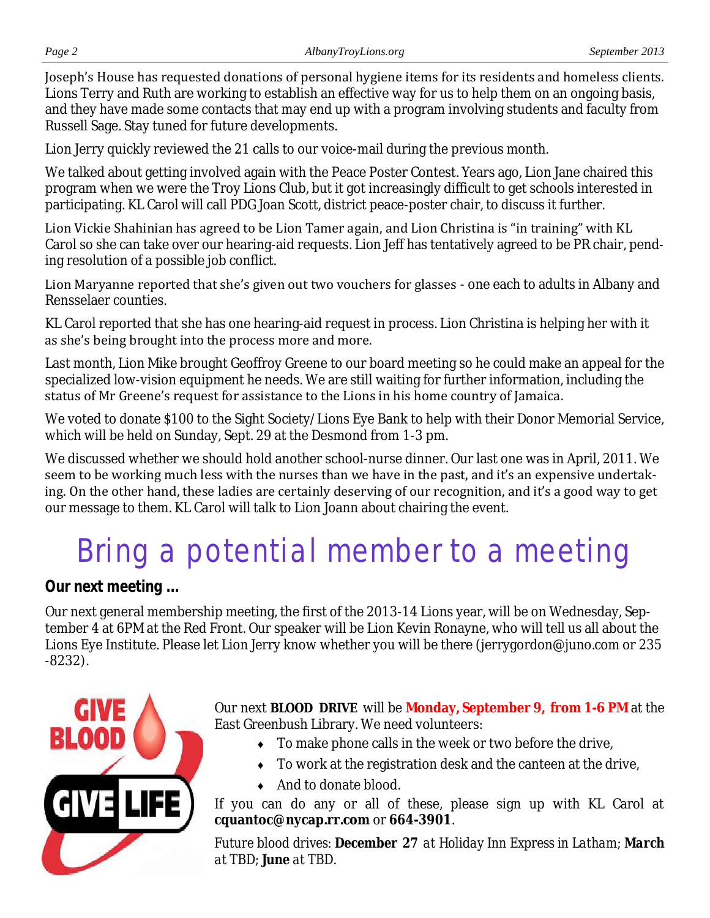Joseph's House has requested donations of personal hygiene items for its residents and homeless clients. Lions Terry and Ruth are working to establish an effective way for us to help them on an ongoing basis, and they have made some contacts that may end up with a program involving students and faculty from Russell Sage. Stay tuned for future developments.

Lion Jerry quickly reviewed the 21 calls to our voice-mail during the previous month.

We talked about getting involved again with the Peace Poster Contest. Years ago, Lion Jane chaired this program when we were the Troy Lions Club, but it got increasingly difficult to get schools interested in participating. KL Carol will call PDG Joan Scott, district peace-poster chair, to discuss it further.

Lion Vickie Shahinian has agreed to be Lion Tamer again, and Lion Christina is "in training" with KL Carol so she can take over our hearing-aid requests. Lion Jeff has tentatively agreed to be PR chair, pending resolution of a possible job conflict.

Lion Maryanne reported that she's given out two vouchers for glasses - one each to adults in Albany and Rensselaer counties.

KL Carol reported that she has one hearing-aid request in process. Lion Christina is helping her with it as she's being brought into the process more and more.

Last month, Lion Mike brought Geoffroy Greene to our board meeting so he could make an appeal for the specialized low-vision equipment he needs. We are still waiting for further information, including the status of Mr Greene's request for assistance to the Lions in his home country of Jamaica.

We voted to donate \$100 to the Sight Society/Lions Eye Bank to help with their Donor Memorial Service, which will be held on Sunday, Sept. 29 at the Desmond from 1-3 pm.

We discussed whether we should hold another school-nurse dinner. Our last one was in April, 2011. We seem to be working much less with the nurses than we have in the past, and it's an expensive undertaking. On the other hand, these ladies are certainly deserving of our recognition, and it's a good way to get our message to them. KL Carol will talk to Lion Joann about chairing the event.

# Bring a potential member to a meeting

*Our next meeting ...*

Our next general membership meeting, the first of the 2013-14 Lions year, will be on Wednesday, September 4 at 6PM at the Red Front. Our speaker will be Lion Kevin Ronayne, who will tell us all about the Lions Eye Institute. Please let Lion Jerry know whether you will be there (jerrygordon@juno.com or 235 -8232).



Our next **BLOOD DRIVE** will be **Monday, September 9, from 1-6 PM** at the East Greenbush Library. We need volunteers:

- $\bullet$  To make phone calls in the week or two before the drive,
- To work at the registration desk and the canteen at the drive,
- ◆ And to donate blood.

If you can do any or all of these, please sign up with KL Carol at **cquantoc@nycap.rr.com** or **664-3901**.

*Future blood drives: December 27 at Holiday Inn Express in Latham; March at TBD; June at TBD.*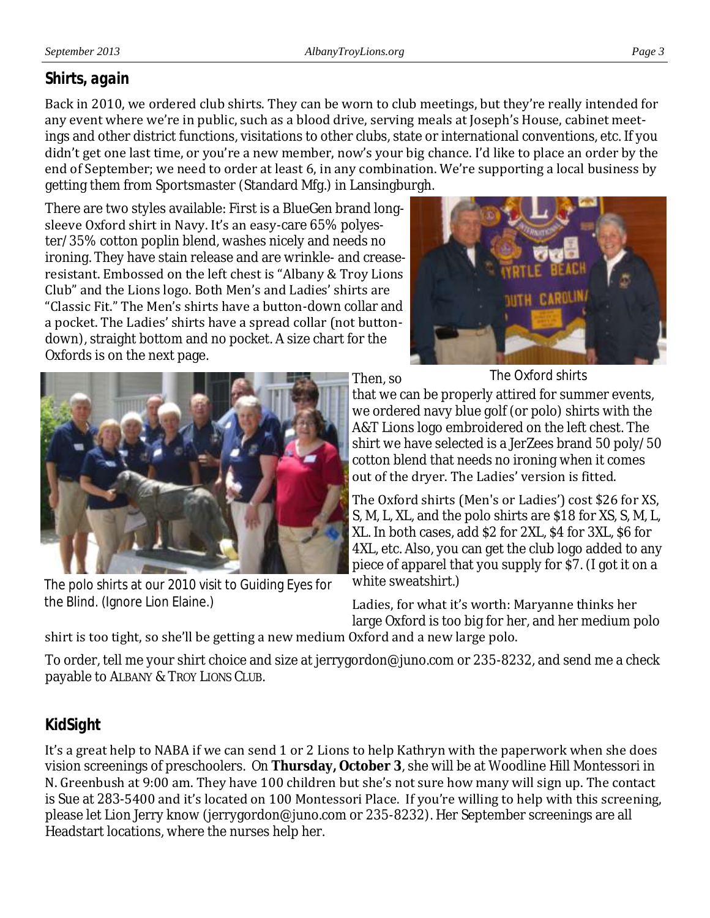#### *Shirts, again*

Back in 2010, we ordered club shirts. They can be worn to club meetings, but they're really intended for any event where we're in public, such as a blood drive, serving meals at Joseph's House, cabinet meetings and other district functions, visitations to other clubs, state or international conventions, etc. If you didn't get one last time, or you're a new member, now's your big chance. I'd like to place an order by the end of September; we need to order at least 6, in any combination. We're supporting a local business by getting them from Sportsmaster (Standard Mfg.) in Lansingburgh.

There are two styles available: First is a BlueGen brand longsleeve Oxford shirt in Navy. It's an easy-care 65% polyester/35% cotton poplin blend, washes nicely and needs no ironing. They have stain release and are wrinkle- and creaseresistant. Embossed on the left chest is "Albany & Troy Lions Club" and the Lions logo. Both Men's and Ladies' shirts are "Classic Fit." The Men's shirts have a button-down collar and a pocket. The Ladies' shirts have a spread collar (not buttondown), straight bottom and no pocket. A size chart for the Oxfords is on the next page.



The Oxford shirts

Then, so that we can be properly attired for summer events, we ordered navy blue golf (or polo) shirts with the A&T Lions logo embroidered on the left chest. The shirt we have selected is a JerZees brand 50 poly/50 cotton blend that needs no ironing when it comes out of the dryer. The Ladies' version is fitted.

The Oxford shirts (Men's or Ladies') cost \$26 for XS, S, M, L, XL, and the polo shirts are \$18 for XS, S, M, L, XL. In both cases, add \$2 for 2XL, \$4 for 3XL, \$6 for 4XL, etc. Also, you can get the club logo added to any piece of apparel that you supply for \$7. (I got it on a white sweatshirt.)

Ladies, for what it's worth: Maryanne thinks her large Oxford is too big for her, and her medium polo

#### shirt is too tight, so she'll be getting a new medium Oxford and a new large polo.

To order, tell me your shirt choice and size at jerrygordon@juno.com or 235-8232, and send me a check payable to ALBANY & TROY LIONS CLUB.

# *KidSight*

It's a great help to NABA if we can send 1 or 2 Lions to help Kathryn with the paperwork when she does vision screenings of preschoolers. On **Thursday, October 3**, she will be at Woodline Hill Montessori in N. Greenbush at 9:00 am. They have 100 children but she's not sure how many will sign up. The contact is Sue at 283-5400 and it's located on 100 Montessori Place. If you're willing to help with this screening, please let Lion Jerry know (jerrygordon@juno.com or 235-8232). Her September screenings are all Headstart locations, where the nurses help her.



The polo shirts at our 2010 visit to Guiding Eyes for the Blind. (Ignore Lion Elaine.)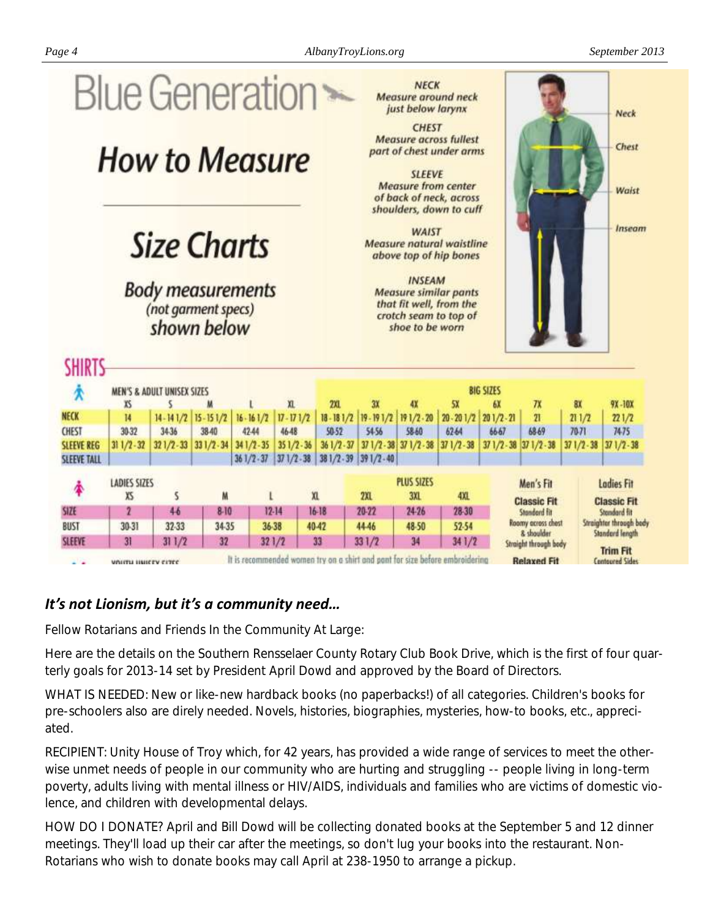

#### *It's not Lionism, but it's a community need…*

Fellow Rotarians and Friends In the Community At Large:

Here are the details on the Southern Rensselaer County Rotary Club Book Drive, which is the first of four quarterly goals for 2013-14 set by President April Dowd and approved by the Board of Directors.

WHAT IS NEEDED: New or like-new hardback books (no paperbacks!) of all categories. Children's books for pre-schoolers also are direly needed. Novels, histories, biographies, mysteries, how-to books, etc., appreciated.

RECIPIENT: Unity House of Troy which, for 42 years, has provided a wide range of services to meet the otherwise unmet needs of people in our community who are hurting and struggling -- people living in long-term poverty, adults living with mental illness or HIV/AIDS, individuals and families who are victims of domestic violence, and children with developmental delays.

HOW DO I DONATE? April and Bill Dowd will be collecting donated books at the September 5 and 12 dinner meetings. They'll load up their car after the meetings, so don't lug your books into the restaurant. Non-Rotarians who wish to donate books may call April at 238-1950 to arrange a pickup.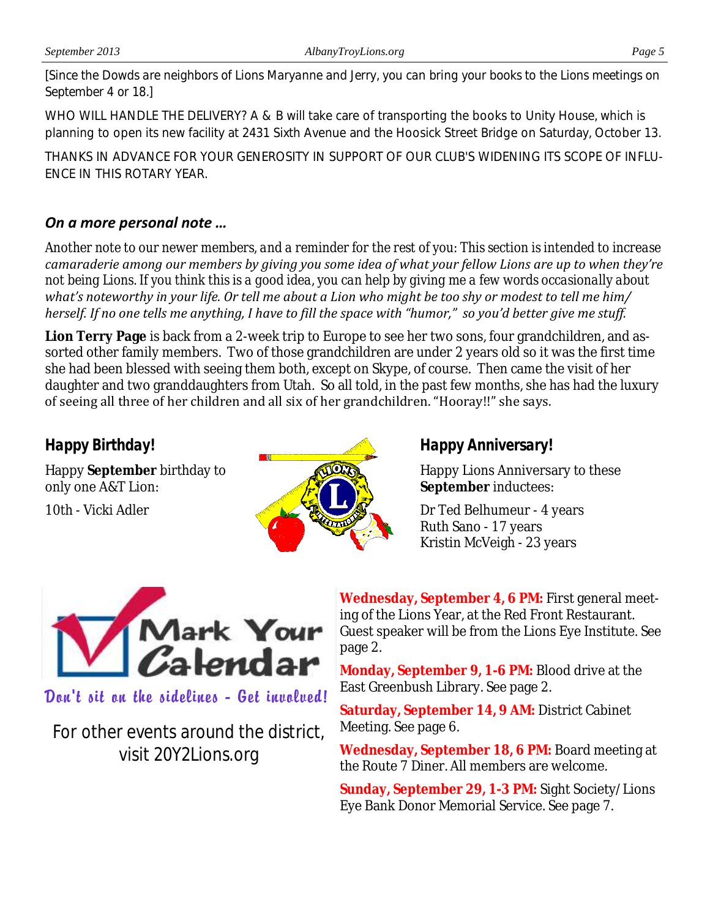*[Since the Dowds are neighbors of Lions Maryanne and Jerry, you can bring your books to the Lions meetings on September 4 or 18.]*

WHO WILL HANDLE THE DELIVERY? A & B will take care of transporting the books to Unity House, which is planning to open its new facility at 2431 Sixth Avenue and the Hoosick Street Bridge on Saturday, October 13.

THANKS IN ADVANCE FOR YOUR GENEROSITY IN SUPPORT OF OUR CLUB'S WIDENING ITS SCOPE OF INFLU-ENCE IN THIS ROTARY YEAR.

#### *On a more personal note …*

*Another note to our newer members, and a reminder for the rest of you: This section is intended to increase camaraderie among our members by giving you some idea of what your fellow Lions are up to when they're not being Lions. If you think this is a good idea, you can help by giving me a few words occasionally about what's noteworthy in your life. Or tell me about a Lion who might be too shy or modest to tell me him/ herself. If no one tells me anything, I have to fill the space with "humor," so you'd better give me stuff.*

**Lion Terry Page** is back from a 2-week trip to Europe to see her two sons, four grandchildren, and assorted other family members. Two of those grandchildren are under 2 years old so it was the first time she had been blessed with seeing them both, except on Skype, of course. Then came the visit of her daughter and two granddaughters from Utah. So all told, in the past few months, she has had the luxury of seeing all three of her children and all six of her grandchildren. "Hooray!!" she says.

### *Happy Birthday!*

Happy **September** birthday to only one A&T Lion:

10th - Vicki Adler



#### *Happy Anniversary!*

Happy Lions Anniversary to these **September** inductees:

Dr Ted Belhumeur - 4 years Ruth Sano - 17 years Kristin McVeigh - 23 years



#### Dan't sit an the sidelines - Get invalued!

For other events around the district, visit 20Y2Lions.org

**Wednesday, September 4, 6 PM:** First general meeting of the Lions Year, at the Red Front Restaurant. Guest speaker will be from the Lions Eye Institute. See page 2.

**Monday, September 9, 1-6 PM:** Blood drive at the East Greenbush Library. See page 2.

**Saturday, September 14, 9 AM:** District Cabinet Meeting. See page 6.

**Wednesday, September 18, 6 PM:** Board meeting at the Route 7 Diner. All members are welcome.

**Sunday, September 29, 1-3 PM:** Sight Society/Lions Eye Bank Donor Memorial Service. See page 7.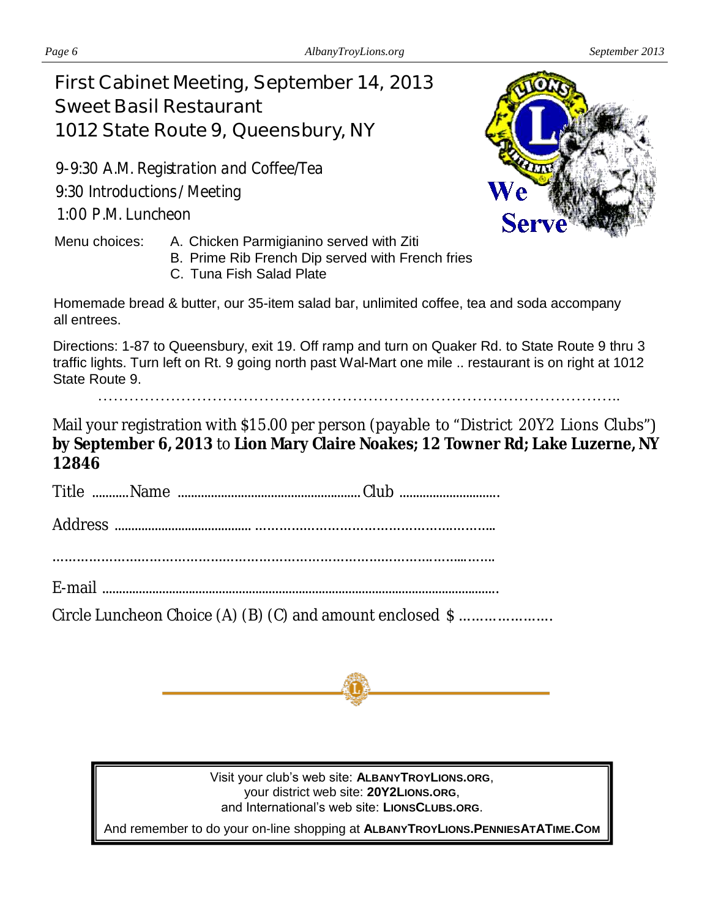# **First Cabinet Meeting, September 14, 2013 Sweet Basil Restaurant 1012 State Route 9, Queensbury, NY**

9-9:30 A.M. Registration and Coffee/Tea 9:30 Introductions / Meeting 1 :00 P.M. Luncheon



- B. Prime Rib French Dip served with French fries
- C. Tuna Fish Salad Plate



Homemade bread & butter, our 35-item salad bar, unlimited coffee, tea and soda accompany all entrees.

Directions: 1-87 to Queensbury, exit 19. Off ramp and turn on Quaker Rd. to State Route 9 thru 3 traffic lights. Turn left on Rt. 9 going north past Wal-Mart one mile .. restaurant is on right at 1012 State Route 9.

………………………………………………………………………………………..

Mail your registration with \$15.00 per person (payable to "District 20Y2 Lions Clubs") **by September 6, 2013** to **Lion Mary Claire Noakes; 12 Towner Rd; Lake Luzerne, NY 12846**

Title ...........Name ....................................................... Club ..............................

Address ......................................... ………………………………………….………..

………………………………………………………………………………….……...…….

E-mail .......................................................................................................................

Circle Luncheon Choice (A) (B) (C) and amount enclosed \$ ........................



Visit your club's web site: **ALBANYTROYLIONS.ORG**, your district web site: **20Y2LIONS.ORG**, and International's web site: **LIONSCLUBS.ORG**.

And remember to do your on-line shopping at **ALBANYTROYLIONS.PENNIESATATIME.COM**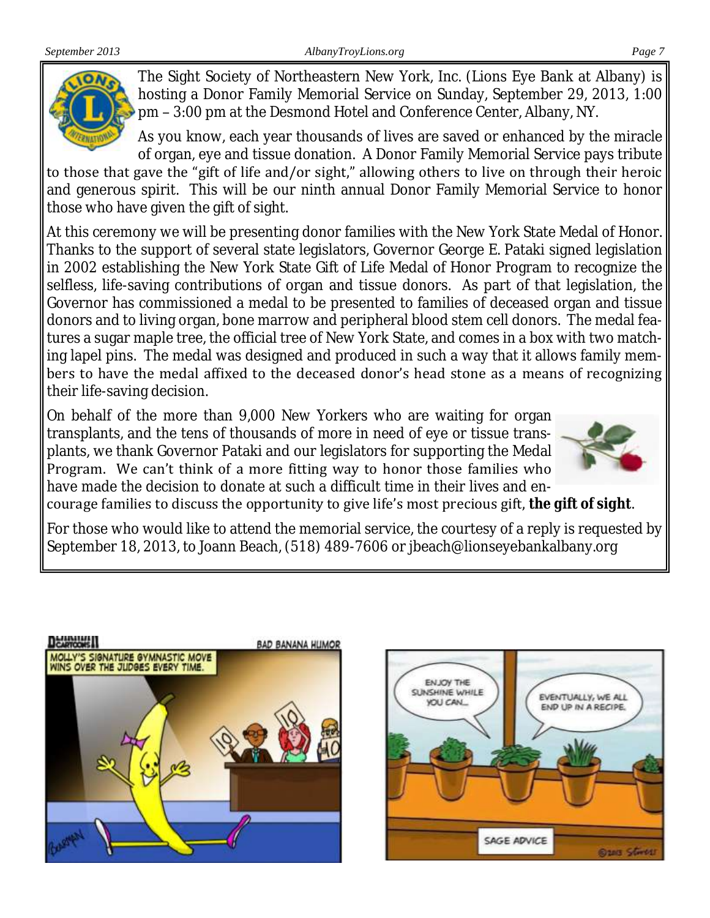

The Sight Society of Northeastern New York, Inc. (Lions Eye Bank at Albany) is hosting a Donor Family Memorial Service on Sunday, September 29, 2013, 1:00 pm – 3:00 pm at the Desmond Hotel and Conference Center, Albany, NY.

As you know, each year thousands of lives are saved or enhanced by the miracle of organ, eye and tissue donation. A Donor Family Memorial Service pays tribute

to those that gave the "gift of life and/or sight," allowing others to live on through their heroic and generous spirit. This will be our ninth annual Donor Family Memorial Service to honor those who have given the gift of sight.

At this ceremony we will be presenting donor families with the New York State Medal of Honor. Thanks to the support of several state legislators, Governor George E. Pataki signed legislation in 2002 establishing the New York State Gift of Life Medal of Honor Program to recognize the selfless, life-saving contributions of organ and tissue donors. As part of that legislation, the Governor has commissioned a medal to be presented to families of deceased organ and tissue donors and to living organ, bone marrow and peripheral blood stem cell donors. The medal features a sugar maple tree, the official tree of New York State, and comes in a box with two matching lapel pins. The medal was designed and produced in such a way that it allows family members to have the medal affixed to the deceased donor's head stone as a means of recognizing their life-saving decision.

On behalf of the more than 9,000 New Yorkers who are waiting for organ transplants, and the tens of thousands of more in need of eye or tissue transplants, we thank Governor Pataki and our legislators for supporting the Medal Program. We can't think of a more fitting way to honor those families who have made the decision to donate at such a difficult time in their lives and en-



courage families to discuss the opportunity to give life's most precious gift, *the gift of sight*.

For those who would like to attend the memorial service, the courtesy of a reply is requested by September 18, 2013, to Joann Beach, (518) 489-7606 or jbeach@lionseyebankalbany.org